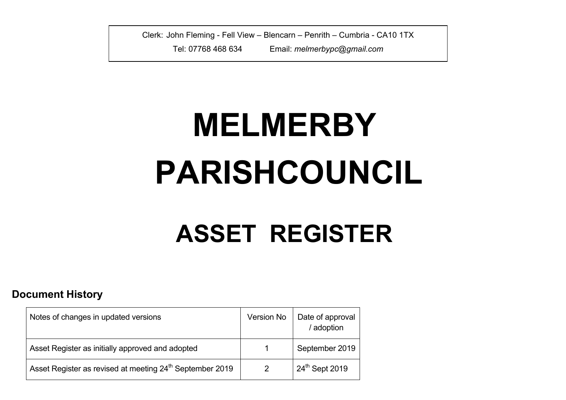Clerk: John Fleming - Fell View – Blencarn – Penrith – Cumbria - CA10 1TX

Tel: 07768 468 634 Email: *melmerbypc@gmail.com*

## **MELMERBY PARISHCOUNCIL**

## **ASSET REGISTER**

## **Document History**

| Notes of changes in updated versions                                 | Version No     | Date of approval<br>/ adoption |
|----------------------------------------------------------------------|----------------|--------------------------------|
| Asset Register as initially approved and adopted                     |                | September 2019                 |
| Asset Register as revised at meeting 24 <sup>th</sup> September 2019 | $\overline{2}$ | 24th Sept 2019                 |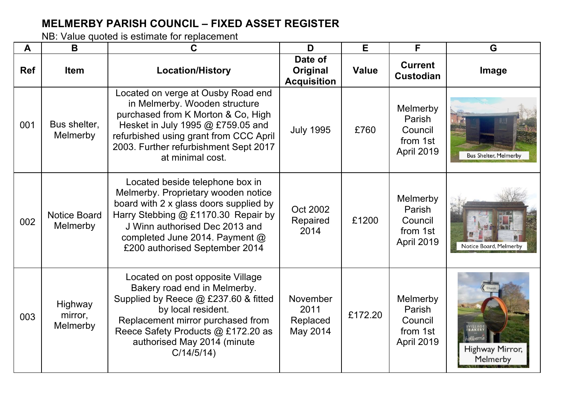## **MELMERBY PARISH COUNCIL – FIXED ASSET REGISTER**

NB: Value quoted is estimate for replacement

| A          | B                               | C                                                                                                                                                                                                                                                             | D                                         | E            | F                                                              | G                            |
|------------|---------------------------------|---------------------------------------------------------------------------------------------------------------------------------------------------------------------------------------------------------------------------------------------------------------|-------------------------------------------|--------------|----------------------------------------------------------------|------------------------------|
| <b>Ref</b> | <b>Item</b>                     | <b>Location/History</b>                                                                                                                                                                                                                                       | Date of<br>Original<br><b>Acquisition</b> | <b>Value</b> | <b>Current</b><br><b>Custodian</b>                             | Image                        |
| 001        | Bus shelter,<br>Melmerby        | Located on verge at Ousby Road end<br>in Melmerby. Wooden structure<br>purchased from K Morton & Co, High<br>Hesket in July 1995 @ £759.05 and<br>refurbished using grant from CCC April<br>2003. Further refurbishment Sept 2017<br>at minimal cost.         | <b>July 1995</b>                          | £760         | Melmerby<br>Parish<br>Council<br>from 1st<br>April 2019        | <b>Bus Shelter, Melmerby</b> |
| 002        | <b>Notice Board</b><br>Melmerby | Located beside telephone box in<br>Melmerby. Proprietary wooden notice<br>board with 2 x glass doors supplied by<br>Harry Stebbing @ £1170.30 Repair by<br>J Winn authorised Dec 2013 and<br>completed June 2014. Payment @<br>£200 authorised September 2014 | Oct 2002<br>Repaired<br>2014              | £1200        | Melmerby<br>Parish<br>Council<br>from 1st<br>April 2019        | Notice Board, Melmerb        |
| 003        | Highway<br>mirror,<br>Melmerby  | Located on post opposite Village<br>Bakery road end in Melmerby.<br>Supplied by Reece @ £237.60 & fitted<br>by local resident.<br>Replacement mirror purchased from<br>Reece Safety Products @ £172.20 as<br>authorised May 2014 (minute<br>C/14/5/14         | November<br>2011<br>Replaced<br>May 2014  | £172.20      | Melmerby<br>Parish<br>Council<br>from 1st<br><b>April 2019</b> | Highway Mirror,<br>Melmerby  |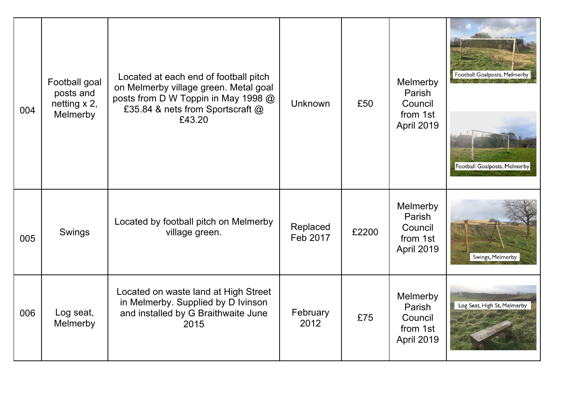| 004 | Football goal<br>posts and<br>netting $x$ 2,<br>Melmerby | Located at each end of football pitch<br>on Melmerby village green. Metal goal<br>posts from D W Toppin in May 1998 @<br>£35.84 & nets from Sportscraft @<br>£43.20 | <b>Unknown</b>       | £50   | Melmerby<br>Parish<br>Council<br>from 1st<br>April 2019 | Football Goalposts, Melmerby<br>Football Goalposts, Melmerby |
|-----|----------------------------------------------------------|---------------------------------------------------------------------------------------------------------------------------------------------------------------------|----------------------|-------|---------------------------------------------------------|--------------------------------------------------------------|
| 005 | Swings                                                   | Located by football pitch on Melmerby<br>village green.                                                                                                             | Replaced<br>Feb 2017 | £2200 | Melmerby<br>Parish<br>Council<br>from 1st<br>April 2019 | Swings, Melmerby                                             |
| 006 | Log seat,<br>Melmerby                                    | Located on waste land at High Street<br>in Melmerby. Supplied by D Ivinson<br>and installed by G Braithwaite June<br>2015                                           | February<br>2012     | £75   | Melmerby<br>Parish<br>Council<br>from 1st<br>April 2019 | Log Seat, High St, Melmerby                                  |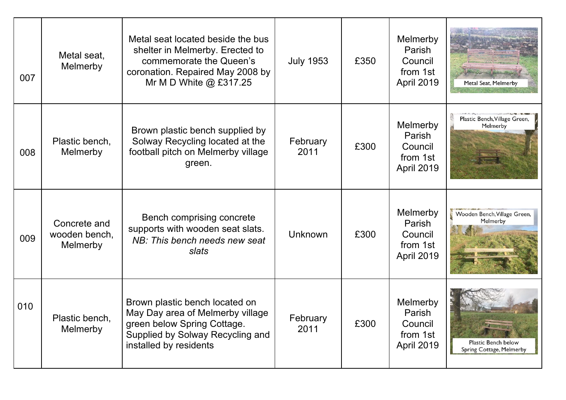| 007 | Metal seat,<br>Melmerby                   | Metal seat located beside the bus<br>shelter in Melmerby. Erected to<br>commemorate the Queen's<br>coronation. Repaired May 2008 by<br>Mr M D White $@$ £317.25 | <b>July 1953</b> | £350 | Melmerby<br>Parish<br>Council<br>from 1st<br>April 2019 | Metal Seat, Melmerby                                                    |
|-----|-------------------------------------------|-----------------------------------------------------------------------------------------------------------------------------------------------------------------|------------------|------|---------------------------------------------------------|-------------------------------------------------------------------------|
| 008 | Plastic bench,<br>Melmerby                | Brown plastic bench supplied by<br>Solway Recycling located at the<br>football pitch on Melmerby village<br>green.                                              | February<br>2011 | £300 | Melmerby<br>Parish<br>Council<br>from 1st<br>April 2019 | Plastic Bench, Village Green,<br>Melmerby                               |
| 009 | Concrete and<br>wooden bench,<br>Melmerby | Bench comprising concrete<br>supports with wooden seat slats.<br>NB: This bench needs new seat<br>slats                                                         | Unknown          | £300 | Melmerby<br>Parish<br>Council<br>from 1st<br>April 2019 | Wooden Bench, Village Green,<br>Melmerby                                |
| 010 | Plastic bench,<br>Melmerby                | Brown plastic bench located on<br>May Day area of Melmerby village<br>green below Spring Cottage.<br>Supplied by Solway Recycling and<br>installed by residents | February<br>2011 | £300 | Melmerby<br>Parish<br>Council<br>from 1st<br>April 2019 | <b>And Service J</b><br>Plastic Bench below<br>Spring Cottage, Melmerby |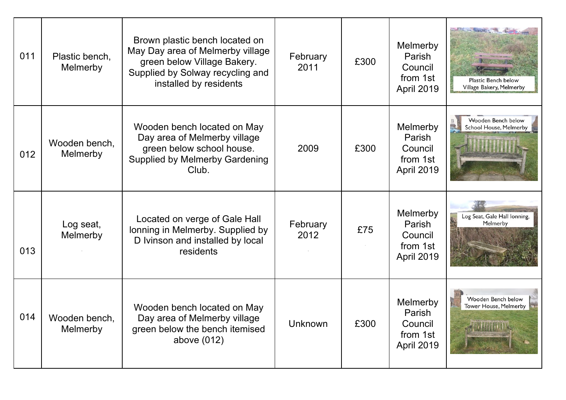| 011 | Plastic bench,<br>Melmerby | Brown plastic bench located on<br>May Day area of Melmerby village<br>green below Village Bakery.<br>Supplied by Solway recycling and<br>installed by residents | February<br>2011 | £300 | Melmerby<br>Parish<br>Council<br>from 1st<br>April 2019 | Plastic Bench below<br>Village Bakery, Melmerby                     |
|-----|----------------------------|-----------------------------------------------------------------------------------------------------------------------------------------------------------------|------------------|------|---------------------------------------------------------|---------------------------------------------------------------------|
| 012 | Wooden bench,<br>Melmerby  | Wooden bench located on May<br>Day area of Melmerby village<br>green below school house.<br><b>Supplied by Melmerby Gardening</b><br>Club.                      | 2009             | £300 | Melmerby<br>Parish<br>Council<br>from 1st<br>April 2019 | Wooden Bench below<br>E<br>School House, Melmerby                   |
| 013 | Log seat,<br>Melmerby      | Located on verge of Gale Hall<br>lonning in Melmerby. Supplied by<br>D Ivinson and installed by local<br>residents                                              | February<br>2012 | £75  | Melmerby<br>Parish<br>Council<br>from 1st<br>April 2019 | Log Seat, Gale Hall lonning,<br>Melmerby                            |
| 014 | Wooden bench,<br>Melmerby  | Wooden bench located on May<br>Day area of Melmerby village<br>green below the bench itemised<br>above (012)                                                    | Unknown          | £300 | Melmerby<br>Parish<br>Council<br>from 1st<br>April 2019 | Wooden Bench below<br>Tower House, Melmerby<br><b>THE TELESCOPE</b> |